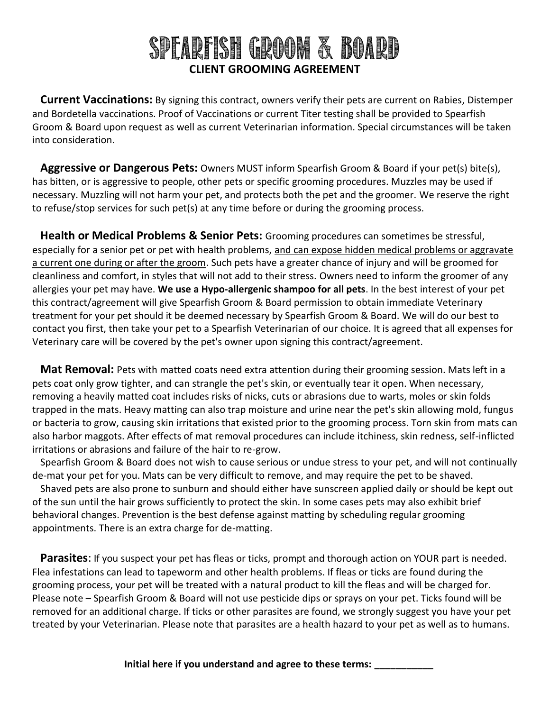## SPEARFISH GROOM & BOARD **CLIENT GROOMING AGREEMENT**

**Current Vaccinations:** By signing this contract, owners verify their pets are current on Rabies, Distemper and Bordetella vaccinations. Proof of Vaccinations or current Titer testing shall be provided to Spearfish Groom & Board upon request as well as current Veterinarian information. Special circumstances will be taken into consideration.

**Aggressive or Dangerous Pets:** Owners MUST inform Spearfish Groom & Board if your pet(s) bite(s), has bitten, or is aggressive to people, other pets or specific grooming procedures. Muzzles may be used if necessary. Muzzling will not harm your pet, and protects both the pet and the groomer. We reserve the right to refuse/stop services for such pet(s) at any time before or during the grooming process.

**Health or Medical Problems & Senior Pets:** Grooming procedures can sometimes be stressful, especially for a senior pet or pet with health problems, and can expose hidden medical problems or aggravate a current one during or after the groom. Such pets have a greater chance of injury and will be groomed for cleanliness and comfort, in styles that will not add to their stress. Owners need to inform the groomer of any allergies your pet may have. **We use a Hypo-allergenic shampoo for all pets**. In the best interest of your pet this contract/agreement will give Spearfish Groom & Board permission to obtain immediate Veterinary treatment for your pet should it be deemed necessary by Spearfish Groom & Board. We will do our best to contact you first, then take your pet to a Spearfish Veterinarian of our choice. It is agreed that all expenses for Veterinary care will be covered by the pet's owner upon signing this contract/agreement.

**Mat Removal:** Pets with matted coats need extra attention during their grooming session. Mats left in a pets coat only grow tighter, and can strangle the pet's skin, or eventually tear it open. When necessary, removing a heavily matted coat includes risks of nicks, cuts or abrasions due to warts, moles or skin folds trapped in the mats. Heavy matting can also trap moisture and urine near the pet's skin allowing mold, fungus or bacteria to grow, causing skin irritations that existed prior to the grooming process. Torn skin from mats can also harbor maggots. After effects of mat removal procedures can include itchiness, skin redness, self-inflicted irritations or abrasions and failure of the hair to re-grow.

Spearfish Groom & Board does not wish to cause serious or undue stress to your pet, and will not continually de-mat your pet for you. Mats can be very difficult to remove, and may require the pet to be shaved.

Shaved pets are also prone to sunburn and should either have sunscreen applied daily or should be kept out of the sun until the hair grows sufficiently to protect the skin. In some cases pets may also exhibit brief behavioral changes. Prevention is the best defense against matting by scheduling regular grooming appointments. There is an extra charge for de-matting.

**Parasites**: If you suspect your pet has fleas or ticks, prompt and thorough action on YOUR part is needed. Flea infestations can lead to tapeworm and other health problems. If fleas or ticks are found during the grooming process, your pet will be treated with a natural product to kill the fleas and will be charged for. Please note – Spearfish Groom & Board will not use pesticide dips or sprays on your pet. Ticks found will be removed for an additional charge. If ticks or other parasites are found, we strongly suggest you have your pet treated by your Veterinarian. Please note that parasites are a health hazard to your pet as well as to humans.